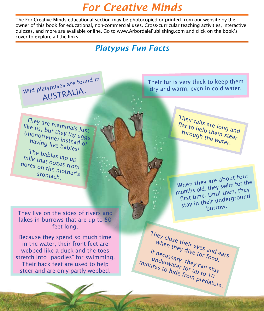# *For Creative Minds*

The For Creative Minds educational section may be photocopied or printed from our website by the owner of this book for educational, non-commercial uses. Cross-curricular teaching activities, interactive quizzes, and more are available online. Go to www.ArbordalePublishing.com and click on the book's cover to explore all the links.

### *Platypus Fun Facts*



Their fur is very thick to keep them dry and warm, even in cold water.

They are mammals just like us, but they lay eggs (monotreme) instead of having live babies!

The babies lap up milk that oozes from pores on the mother's stomach.

They live on the sides of rivers and lakes in burrows that are up to 50 feet long.

Because they spend so much time in the water, their front feet are webbed like a duck and the toes stretch into "paddles" for swimming. Their back feet are used to help steer and are only partly webbed.

Their tails are long and flat to help them steer through the water.

When they are about four months old, they swim for the first time. Until then, they stay in their undergroun<sup>d</sup> burrow.

They close their eyes and ears when they dive for food. If necessary, they can stay underwater for up to 10 minutes to hide from predators.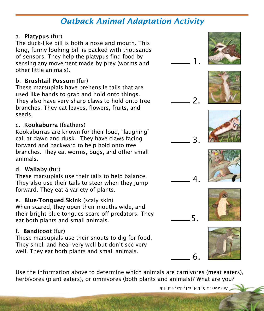### *Outback Animal Adaptation Activity*

#### a. Platypus (fur)

The duck-like bill is both a nose and mouth. This long, funny-looking bill is packed with thousands of sensors. They help the platypus find food by sensing any movement made by prey (worms and other little animals).

#### b. Brushtail Possum (fur)

These marsupials have prehensile tails that are used like hands to grab and hold onto things. They also have very sharp claws to hold onto tree branches. They eat leaves, flowers, fruits, and seeds.

### c. Kookaburra (feathers)

Kookaburras are known for their loud, "laughing" call at dawn and dusk. They have claws facing forward and backward to help hold onto tree branches. They eat worms, bugs, and other small animals.

### d. Wallaby (fur)

These marsupials use their tails to help balance. They also use their tails to steer when they jump forward. They eat a variety of plants.

### e. Blue-Tongued Skink (scaly skin)

When scared, they open their mouths wide, and their bright blue tongues scare off predators. They eat both plants and small animals.

### f. Bandicoot (fur)

These marsupials use their snouts to dig for food. They smell and hear very well but don't see very well. They eat both plants and small animals.

Use the information above to determine which animals are carnivores (meat eaters), herbivores (plant eaters), or omnivores (both plants and animals)? What are you?

Answers: a.5, b.4, c.1, d.2, e.3, f.6

6.









1.

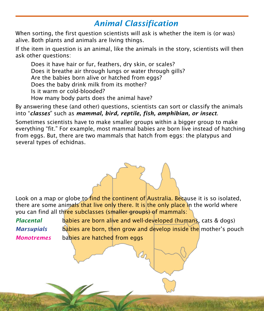## *Animal Classification*

When sorting, the first question scientists will ask is whether the item is (or was) alive. Both plants and animals are living things.

If the item in question is an animal, like the animals in the story, scientists will then ask other questions:

Does it have hair or fur, feathers, dry skin, or scales? Does it breathe air through lungs or water through gills? Are the babies born alive or hatched from eggs? Does the baby drink milk from its mother? Is it warm or cold-blooded? How many body parts does the animal have?

By answering these (and other) questions, scientists can sort or classify the animals into "*classes*" such as *mammal, bird, reptile, fish, amphibian, or insect*.

Sometimes scientists have to make smaller groups within a bigger group to make everything "fit." For example, most mammal babies are born live instead of hatching from eggs. But, there are two mammals that hatch from eggs: the platypus and several types of echidnas.

Look on a map or globe to find the continent of Australia. Because it is so isolated, there are some animals that live only there. It is the only place in the world where you can find all three subclasses (smaller groups) of mammals:

*Placental* babies are born alive and well-developed (humans, cats & dogs) *Marsupials* babies are born, then grow and develop inside the mother's pouch *Monotremes* babies are hatched from eggs